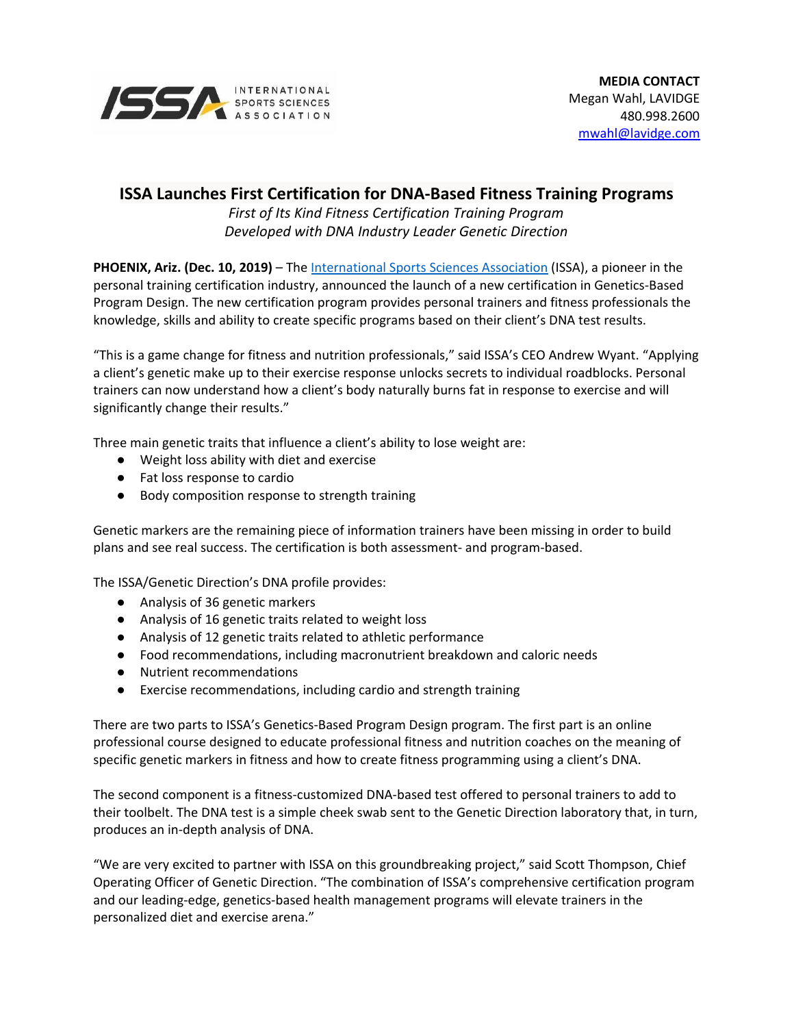

## **ISSA Launches First Certification for DNA-Based Fitness Training Programs**

*First of Its Kind Fitness Certification Training Program Developed with DNA Industry Leader Genetic Direction*

**PHOENIX, Ariz. (Dec. 10, 2019)** – The [International](https://www.issaonline.edu/) Sports Sciences Association (ISSA), a pioneer in the personal training certification industry, announced the launch of a new certification in Genetics-Based Program Design. The new certification program provides personal trainers and fitness professionals the knowledge, skills and ability to create specific programs based on their client's DNA test results.

"This is a game change for fitness and nutrition professionals," said ISSA's CEO Andrew Wyant. "Applying a client's genetic make up to their exercise response unlocks secrets to individual roadblocks. Personal trainers can now understand how a client's body naturally burns fat in response to exercise and will significantly change their results."

Three main genetic traits that influence a client's ability to lose weight are:

- Weight loss ability with diet and exercise
- Fat loss response to cardio
- Body composition response to strength training

Genetic markers are the remaining piece of information trainers have been missing in order to build plans and see real success. The certification is both assessment- and program-based.

The ISSA/Genetic Direction's DNA profile provides:

- Analysis of 36 genetic markers
- Analysis of 16 genetic traits related to weight loss
- Analysis of 12 genetic traits related to athletic performance
- Food recommendations, including macronutrient breakdown and caloric needs
- Nutrient recommendations
- Exercise recommendations, including cardio and strength training

There are two parts to ISSA's Genetics-Based Program Design program. The first part is an online professional course designed to educate professional fitness and nutrition coaches on the meaning of specific genetic markers in fitness and how to create fitness programming using a client's DNA.

The second component is a fitness-customized DNA-based test offered to personal trainers to add to their toolbelt. The DNA test is a simple cheek swab sent to the Genetic Direction laboratory that, in turn, produces an in-depth analysis of DNA.

"We are very excited to partner with ISSA on this groundbreaking project," said Scott Thompson, Chief Operating Officer of Genetic Direction. "The combination of ISSA's comprehensive certification program and our leading-edge, genetics-based health management programs will elevate trainers in the personalized diet and exercise arena."